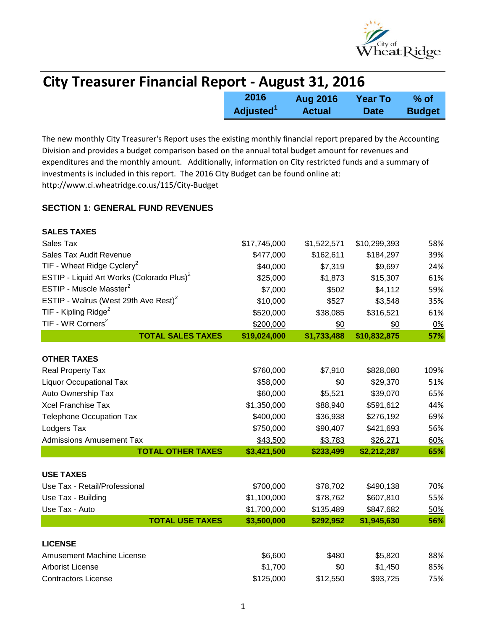

| <b>City Treasurer Financial Report - August 31, 2016</b> |                              |                 |                |               |
|----------------------------------------------------------|------------------------------|-----------------|----------------|---------------|
|                                                          | 2016                         | <b>Aug 2016</b> | <b>Year To</b> | % of          |
|                                                          | <b>Adjusted</b> <sup>1</sup> | <b>Actual</b>   | <b>Date</b>    | <b>Budget</b> |

The new monthly City Treasurer's Report uses the existing monthly financial report prepared by the Accounting Division and provides a budget comparison based on the annual total budget amount for revenues and expenditures and the monthly amount. Additionally, information on City restricted funds and a summary of investments is included in this report. The 2016 City Budget can be found online at: http://www.ci.wheatridge.co.us/115/City-Budget

## **SECTION 1: GENERAL FUND REVENUES**

| <b>SALES TAXES</b>                                    |              |             |              |            |
|-------------------------------------------------------|--------------|-------------|--------------|------------|
| Sales Tax                                             | \$17,745,000 | \$1,522,571 | \$10,299,393 | 58%        |
| Sales Tax Audit Revenue                               | \$477,000    | \$162,611   | \$184,297    | 39%        |
| TIF - Wheat Ridge Cyclery <sup>2</sup>                | \$40,000     | \$7,319     | \$9,697      | 24%        |
| ESTIP - Liquid Art Works (Colorado Plus) <sup>2</sup> | \$25,000     | \$1,873     | \$15,307     | 61%        |
| ESTIP - Muscle Masster <sup>2</sup>                   | \$7,000      | \$502       | \$4,112      | 59%        |
| ESTIP - Walrus (West 29th Ave Rest) <sup>2</sup>      | \$10,000     | \$527       | \$3,548      | 35%        |
| TIF - Kipling Ridge <sup>2</sup>                      | \$520,000    | \$38,085    | \$316,521    | 61%        |
| TIF - WR Corners <sup>2</sup>                         | \$200,000    | \$0         | \$0          | 0%         |
| <b>TOTAL SALES TAXES</b>                              | \$19,024,000 | \$1,733,488 | \$10,832,875 | 57%        |
| <b>OTHER TAXES</b>                                    |              |             |              |            |
| Real Property Tax                                     | \$760,000    | \$7,910     | \$828,080    | 109%       |
| <b>Liquor Occupational Tax</b>                        | \$58,000     | \$0         | \$29,370     | 51%        |
| Auto Ownership Tax                                    | \$60,000     | \$5,521     | \$39,070     | 65%        |
| <b>Xcel Franchise Tax</b>                             | \$1,350,000  | \$88,940    | \$591,612    | 44%        |
| <b>Telephone Occupation Tax</b>                       | \$400,000    | \$36,938    | \$276,192    | 69%        |
| Lodgers Tax                                           | \$750,000    | \$90,407    | \$421,693    | 56%        |
| <b>Admissions Amusement Tax</b>                       | \$43,500     | \$3,783     | \$26,271     | 60%        |
| <b>TOTAL OTHER TAXES</b>                              | \$3,421,500  | \$233,499   | \$2,212,287  | 65%        |
| <b>USE TAXES</b>                                      |              |             |              |            |
| Use Tax - Retail/Professional                         | \$700,000    | \$78,702    | \$490,138    | 70%        |
| Use Tax - Building                                    | \$1,100,000  | \$78,762    | \$607,810    | 55%        |
| Use Tax - Auto                                        | \$1,700,000  | \$135,489   | \$847,682    | <u>50%</u> |
| <b>TOTAL USE TAXES</b>                                | \$3,500,000  | \$292,952   | \$1,945,630  | 56%        |
|                                                       |              |             |              |            |
| <b>LICENSE</b>                                        |              |             |              |            |
| <b>Amusement Machine License</b>                      | \$6,600      | \$480       | \$5,820      | 88%        |
| <b>Arborist License</b>                               | \$1,700      | \$0         | \$1,450      | 85%        |
| <b>Contractors License</b>                            | \$125,000    | \$12,550    | \$93,725     | 75%        |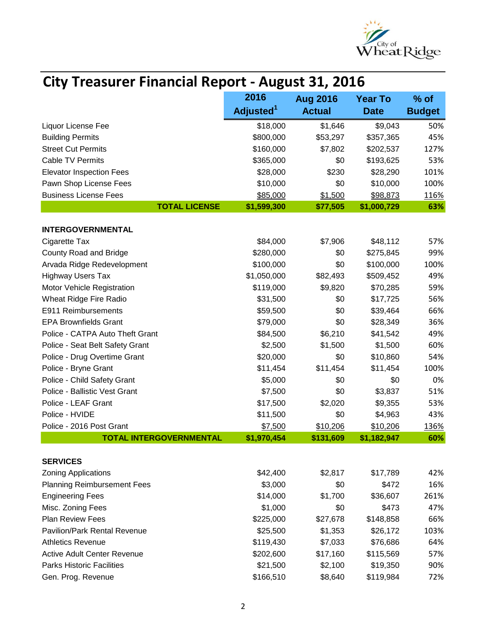

| <b>City Treasurer Financial Report - August 31, 2016</b> |                       |                 |                |               |  |
|----------------------------------------------------------|-----------------------|-----------------|----------------|---------------|--|
|                                                          | 2016                  | <b>Aug 2016</b> | <b>Year To</b> | $%$ of        |  |
|                                                          | Adjusted <sup>1</sup> | <b>Actual</b>   | <b>Date</b>    | <b>Budget</b> |  |
| Liquor License Fee                                       | \$18,000              | \$1,646         | \$9,043        | 50%           |  |
| <b>Building Permits</b>                                  | \$800,000             | \$53,297        | \$357,365      | 45%           |  |
| <b>Street Cut Permits</b>                                | \$160,000             | \$7,802         | \$202,537      | 127%          |  |
| <b>Cable TV Permits</b>                                  | \$365,000             | \$0             | \$193,625      | 53%           |  |
| <b>Elevator Inspection Fees</b>                          | \$28,000              | \$230           | \$28,290       | 101%          |  |
| Pawn Shop License Fees                                   | \$10,000              | \$0             | \$10,000       | 100%          |  |
| <b>Business License Fees</b>                             | \$85,000              | \$1,500         | \$98,873       | 116%          |  |
| <b>TOTAL LICENSE</b>                                     | \$1,599,300           | \$77,505        | \$1,000,729    | 63%           |  |
| <b>INTERGOVERNMENTAL</b>                                 |                       |                 |                |               |  |
| Cigarette Tax                                            | \$84,000              | \$7,906         | \$48,112       | 57%           |  |
| County Road and Bridge                                   | \$280,000             | \$0             | \$275,845      | 99%           |  |
| Arvada Ridge Redevelopment                               | \$100,000             | \$0             | \$100,000      | 100%          |  |
| <b>Highway Users Tax</b>                                 | \$1,050,000           | \$82,493        | \$509,452      | 49%           |  |
| Motor Vehicle Registration                               | \$119,000             | \$9,820         | \$70,285       | 59%           |  |
| Wheat Ridge Fire Radio                                   | \$31,500              | \$0             | \$17,725       | 56%           |  |
| E911 Reimbursements                                      | \$59,500              | \$0             | \$39,464       | 66%           |  |
| <b>EPA Brownfields Grant</b>                             | \$79,000              | \$0             | \$28,349       | 36%           |  |
| Police - CATPA Auto Theft Grant                          | \$84,500              | \$6,210         | \$41,542       | 49%           |  |
| Police - Seat Belt Safety Grant                          | \$2,500               | \$1,500         | \$1,500        | 60%           |  |
| Police - Drug Overtime Grant                             | \$20,000              | \$0             | \$10,860       | 54%           |  |
| Police - Bryne Grant                                     | \$11,454              | \$11,454        | \$11,454       | 100%          |  |
| Police - Child Safety Grant                              | \$5,000               | \$0             | \$0            | 0%            |  |
| Police - Ballistic Vest Grant                            | \$7,500               | \$0             | \$3,837        | 51%           |  |
| Police - LEAF Grant                                      | \$17,500              | \$2,020         | \$9,355        | 53%           |  |
| Police - HVIDE                                           | \$11,500              | \$0             | \$4,963        | 43%           |  |
| Police - 2016 Post Grant                                 | \$7,500               | \$10,206        | \$10,206       | 136%          |  |
| <b>TOTAL INTERGOVERNMENTAL</b>                           | \$1,970,454           | \$131,609       | \$1,182,947    | 60%           |  |
|                                                          |                       |                 |                |               |  |
| <b>SERVICES</b>                                          |                       |                 |                |               |  |
| <b>Zoning Applications</b>                               | \$42,400              | \$2,817         | \$17,789       | 42%           |  |
| <b>Planning Reimbursement Fees</b>                       | \$3,000               | \$0             | \$472          | 16%           |  |
| <b>Engineering Fees</b>                                  | \$14,000              | \$1,700         | \$36,607       | 261%          |  |
| Misc. Zoning Fees                                        | \$1,000               | \$0             | \$473          | 47%           |  |
| Plan Review Fees                                         | \$225,000             | \$27,678        | \$148,858      | 66%           |  |
| Pavilion/Park Rental Revenue                             | \$25,500              | \$1,353         | \$26,172       | 103%          |  |
| <b>Athletics Revenue</b>                                 | \$119,430             | \$7,033         | \$76,686       | 64%           |  |
| <b>Active Adult Center Revenue</b>                       | \$202,600             | \$17,160        | \$115,569      | 57%           |  |
| <b>Parks Historic Facilities</b>                         | \$21,500              | \$2,100         | \$19,350       | 90%           |  |
| Gen. Prog. Revenue                                       | \$166,510             | \$8,640         | \$119,984      | 72%           |  |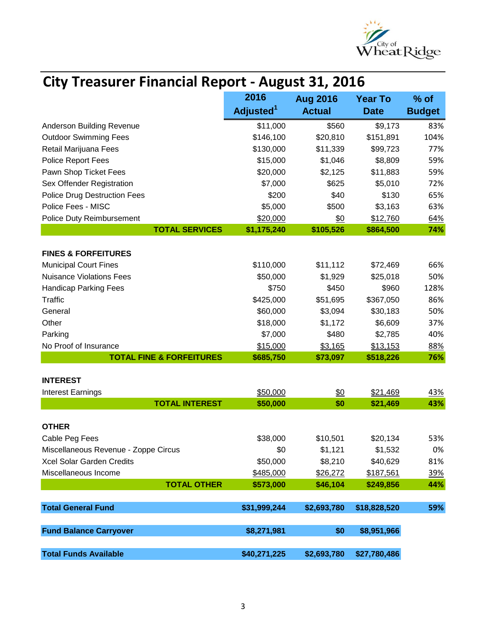

| <b>City Treasurer Financial Report - August 31, 2016</b> |                         |                   |              |               |
|----------------------------------------------------------|-------------------------|-------------------|--------------|---------------|
|                                                          | 2016<br><b>Aug 2016</b> | <b>Year To</b>    | $%$ of       |               |
|                                                          | Adjusted <sup>1</sup>   | <b>Actual</b>     | <b>Date</b>  | <b>Budget</b> |
| Anderson Building Revenue                                | \$11,000                | \$560             | \$9,173      | 83%           |
| <b>Outdoor Swimming Fees</b>                             | \$146,100               | \$20,810          | \$151,891    | 104%          |
| Retail Marijuana Fees                                    | \$130,000               | \$11,339          | \$99,723     | 77%           |
| Police Report Fees                                       | \$15,000                | \$1,046           | \$8,809      | 59%           |
| Pawn Shop Ticket Fees                                    | \$20,000                | \$2,125           | \$11,883     | 59%           |
| Sex Offender Registration                                | \$7,000                 | \$625             | \$5,010      | 72%           |
| <b>Police Drug Destruction Fees</b>                      | \$200                   | \$40              | \$130        | 65%           |
| Police Fees - MISC                                       | \$5,000                 | \$500             | \$3,163      | 63%           |
| Police Duty Reimbursement                                | \$20,000                | \$0               | \$12,760     | 64%           |
| <b>TOTAL SERVICES</b>                                    | \$1,175,240             | \$105,526         | \$864,500    | 74%           |
| <b>FINES &amp; FORFEITURES</b>                           |                         |                   |              |               |
| <b>Municipal Court Fines</b>                             | \$110,000               | \$11,112          | \$72,469     | 66%           |
| <b>Nuisance Violations Fees</b>                          | \$50,000                | \$1,929           | \$25,018     | 50%           |
| <b>Handicap Parking Fees</b>                             | \$750                   | \$450             | \$960        | 128%          |
| <b>Traffic</b>                                           | \$425,000               | \$51,695          | \$367,050    | 86%           |
| General                                                  | \$60,000                | \$3,094           | \$30,183     | 50%           |
| Other                                                    | \$18,000                | \$1,172           | \$6,609      | 37%           |
| Parking                                                  | \$7,000                 | \$480             | \$2,785      | 40%           |
| No Proof of Insurance                                    | \$15,000                | \$3,165           | \$13,153     | 88%           |
| <b>TOTAL FINE &amp; FORFEITURES</b>                      | \$685,750               | \$73,097          | \$518,226    | 76%           |
| <b>INTEREST</b>                                          |                         |                   |              |               |
| <b>Interest Earnings</b>                                 | \$50,000                | $\underline{\$0}$ | \$21,469     | 43%           |
| <b>TOTAL INTEREST</b>                                    | \$50,000                | \$0               | \$21,469     | 43%           |
|                                                          |                         |                   |              |               |
| <b>OTHER</b>                                             |                         |                   |              |               |
| Cable Peg Fees                                           | \$38,000                | \$10,501          | \$20,134     | 53%           |
| Miscellaneous Revenue - Zoppe Circus                     | \$0                     | \$1,121           | \$1,532      | 0%            |
| Xcel Solar Garden Credits                                | \$50,000                | \$8,210           | \$40,629     | 81%           |
| Miscellaneous Income                                     | \$485,000               | \$26,272          | \$187,561    | <u>39%</u>    |
| <b>TOTAL OTHER</b>                                       | \$573,000               | \$46,104          | \$249,856    | 44%           |
| <b>Total General Fund</b>                                | \$31,999,244            | \$2,693,780       | \$18,828,520 | 59%           |
|                                                          |                         |                   |              |               |
| <b>Fund Balance Carryover</b>                            | \$8,271,981             | \$0               | \$8,951,966  |               |
| <b>Total Funds Available</b>                             | \$40,271,225            | \$2,693,780       | \$27,780,486 |               |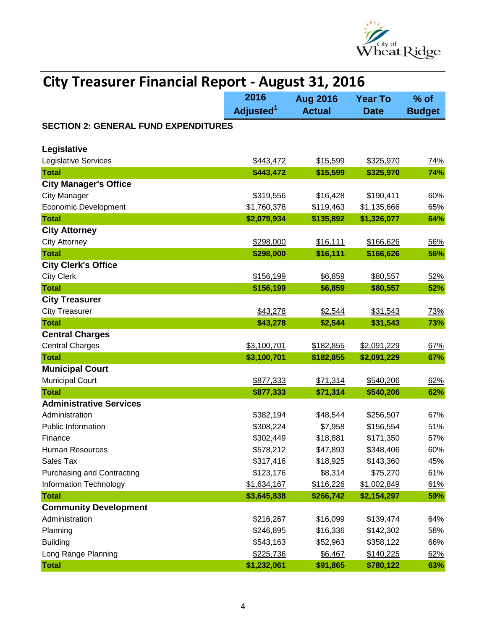

| <b>City Treasurer Financial Report - August 31, 2016</b> |                               |                                  |                               |                         |
|----------------------------------------------------------|-------------------------------|----------------------------------|-------------------------------|-------------------------|
|                                                          | 2016<br>Adjusted <sup>1</sup> | <b>Aug 2016</b><br><b>Actual</b> | <b>Year To</b><br><b>Date</b> | $%$ of<br><b>Budget</b> |
| <b>SECTION 2: GENERAL FUND EXPENDITURES</b>              |                               |                                  |                               |                         |
| Legislative                                              |                               |                                  |                               |                         |
| Legislative Services                                     | \$443,472                     | \$15,599                         | \$325,970                     | 74%                     |
| <b>Total</b>                                             | \$443,472                     | \$15,599                         | \$325,970                     | 74%                     |
| <b>City Manager's Office</b>                             |                               |                                  |                               |                         |
| <b>City Manager</b>                                      | \$319,556                     | \$16,428                         | \$190,411                     | 60%                     |
| <b>Economic Development</b>                              | \$1,760,378                   | \$119,463                        | \$1,135,666                   | 65%                     |
| <b>Total</b>                                             | \$2,079,934                   | \$135,892                        | \$1,326,077                   | 64%                     |
| <b>City Attorney</b>                                     |                               |                                  |                               |                         |
| <b>City Attorney</b>                                     | \$298,000                     | \$16,111                         | \$166,626                     | 56%                     |
| <b>Total</b>                                             | \$298,000                     | \$16,111                         | \$166,626                     | 56%                     |
| <b>City Clerk's Office</b>                               |                               |                                  |                               |                         |
| <b>City Clerk</b>                                        | \$156,199                     | \$6,859                          | \$80,557                      | 52%                     |
| <b>Total</b>                                             | \$156,199                     | \$6,859                          | \$80,557                      | 52%                     |
| <b>City Treasurer</b>                                    |                               |                                  |                               |                         |
| <b>City Treasurer</b>                                    | \$43,278                      | \$2,544                          | \$31,543                      | 73%                     |
| <b>Total</b>                                             | \$43,278                      | \$2,544                          | \$31,543                      | 73%                     |
| <b>Central Charges</b>                                   |                               |                                  |                               |                         |
| <b>Central Charges</b>                                   | \$3,100,701                   | \$182,855                        | \$2,091,229                   | 67%                     |
| <b>Total</b>                                             | \$3,100,701                   | \$182,855                        | \$2,091,229                   | 67%                     |
| <b>Municipal Court</b>                                   |                               |                                  |                               |                         |
| <b>Municipal Court</b>                                   | \$877,333                     | \$71,314                         | \$540,206                     | 62%                     |
| <b>Total</b>                                             | \$877,333                     | \$71,314                         | \$540,206                     | 62%                     |
| <b>Administrative Services</b>                           |                               |                                  |                               |                         |
| Administration                                           | \$382,194                     | \$48,544                         | \$256,507                     | 67%                     |
| <b>Public Information</b>                                | \$308,224                     | \$7,958                          | \$156,554                     | 51%                     |
| Finance                                                  | \$302,449                     | \$18,881                         | \$171,350                     | 57%                     |
| Human Resources                                          | \$578,212                     | \$47,893                         | \$348,406                     | 60%                     |
| Sales Tax                                                | \$317,416                     | \$18,925                         | \$143,360                     | 45%                     |
| <b>Purchasing and Contracting</b>                        | \$123,176                     | \$8,314                          | \$75,270                      | 61%                     |
| <b>Information Technology</b>                            | \$1,634,167                   | \$116,226                        | \$1,002,849                   | 61%                     |
| <b>Total</b>                                             | \$3,645,838                   | \$266,742                        | \$2,154,297                   | 59%                     |
| <b>Community Development</b>                             |                               |                                  |                               |                         |
| Administration                                           | \$216,267                     | \$16,099                         | \$139,474                     | 64%                     |
| Planning                                                 | \$246,895                     | \$16,336                         | \$142,302                     | 58%                     |
| <b>Building</b>                                          | \$543,163                     | \$52,963                         | \$358,122                     | 66%                     |
| Long Range Planning                                      | \$225,736                     | \$6,467                          | \$140,225                     | 62%                     |
| <b>Total</b>                                             | \$1,232,061                   | \$91,865                         | \$780,122                     | 63%                     |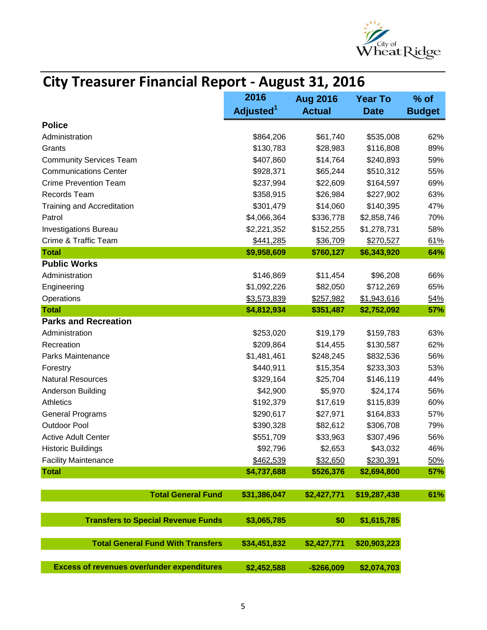

| City Treasurer Financial Report - August 31, 2016 |                       |                 |                |               |
|---------------------------------------------------|-----------------------|-----------------|----------------|---------------|
|                                                   | 2016                  | <b>Aug 2016</b> | <b>Year To</b> | $%$ of        |
|                                                   | Adjusted <sup>1</sup> | <b>Actual</b>   | <b>Date</b>    | <b>Budget</b> |
| <b>Police</b>                                     |                       |                 |                |               |
| Administration                                    | \$864,206             | \$61,740        | \$535,008      | 62%           |
| Grants                                            | \$130,783             | \$28,983        | \$116,808      | 89%           |
| <b>Community Services Team</b>                    | \$407,860             | \$14,764        | \$240,893      | 59%           |
| <b>Communications Center</b>                      | \$928,371             | \$65,244        | \$510,312      | 55%           |
| <b>Crime Prevention Team</b>                      | \$237,994             | \$22,609        | \$164,597      | 69%           |
| Records Team                                      | \$358,915             | \$26,984        | \$227,902      | 63%           |
| <b>Training and Accreditation</b>                 | \$301,479             | \$14,060        | \$140,395      | 47%           |
| Patrol                                            | \$4,066,364           | \$336,778       | \$2,858,746    | 70%           |
| <b>Investigations Bureau</b>                      | \$2,221,352           | \$152,255       | \$1,278,731    | 58%           |
| Crime & Traffic Team                              | \$441,285             | \$36,709        | \$270,527      | 61%           |
| <b>Total</b>                                      | \$9,958,609           | \$760,127       | \$6,343,920    | 64%           |
| <b>Public Works</b>                               |                       |                 |                |               |
| Administration                                    | \$146,869             | \$11,454        | \$96,208       | 66%           |
| Engineering                                       | \$1,092,226           | \$82,050        | \$712,269      | 65%           |
| Operations                                        | \$3,573,839           | \$257,982       | \$1,943,616    | 54%           |
| <b>Total</b>                                      | \$4,812,934           | \$351,487       | \$2,752,092    | 57%           |
| <b>Parks and Recreation</b>                       |                       |                 |                |               |
| Administration                                    | \$253,020             | \$19,179        | \$159,783      | 63%           |
| Recreation                                        | \$209,864             | \$14,455        | \$130,587      | 62%           |
| Parks Maintenance                                 | \$1,481,461           | \$248,245       | \$832,536      | 56%           |
| Forestry                                          | \$440,911             | \$15,354        | \$233,303      | 53%           |
| <b>Natural Resources</b>                          | \$329,164             | \$25,704        | \$146,119      | 44%           |
| Anderson Building                                 | \$42,900              | \$5,970         | \$24,174       | 56%           |
| Athletics                                         | \$192,379             | \$17,619        | \$115,839      | 60%           |
| <b>General Programs</b>                           | \$290,617             | \$27,971        | \$164,833      | 57%           |
| <b>Outdoor Pool</b>                               | \$390,328             | \$82,612        | \$306,708      | 79%           |
| <b>Active Adult Center</b>                        | \$551,709             | \$33,963        | \$307,496      | 56%           |
| <b>Historic Buildings</b>                         | \$92,796              | \$2,653         | \$43,032       | 46%           |
| <b>Facility Maintenance</b>                       | \$462,539             | \$32,650        | \$230,391      | 50%           |
| <b>Total</b>                                      | \$4,737,688           | \$526,376       | \$2,694,800    | 57%           |
| <b>Total General Fund</b>                         | \$31,386,047          | \$2,427,771     | \$19,287,438   | 61%           |
|                                                   |                       |                 |                |               |
| <b>Transfers to Special Revenue Funds</b>         | \$3,065,785           | \$0             | \$1,615,785    |               |
| <b>Total General Fund With Transfers</b>          | \$34,451,832          | \$2,427,771     | \$20,903,223   |               |
| <b>Excess of revenues over/under expenditures</b> | \$2,452,588           | $-$266,009$     | \$2,074,703    |               |

## **City Treasurer Financial Report - August 31, 2016**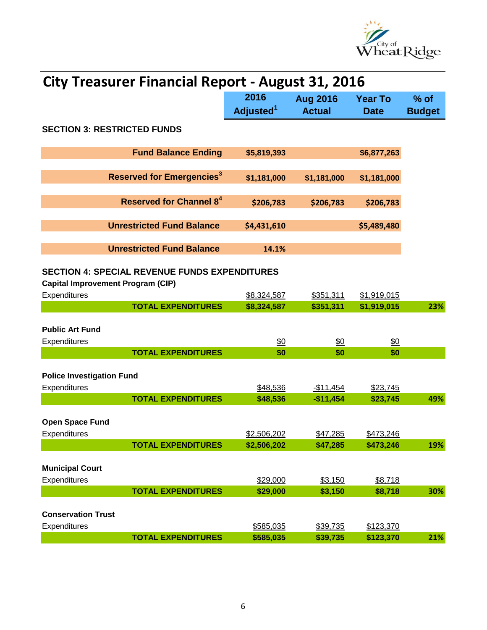

| <b>City Treasurer Financial Report - August 31, 2016</b>                                         |                       |                      |                        |               |  |
|--------------------------------------------------------------------------------------------------|-----------------------|----------------------|------------------------|---------------|--|
|                                                                                                  | 2016                  | <b>Aug 2016</b>      | <b>Year To</b>         | $%$ of        |  |
|                                                                                                  | Adjusted <sup>1</sup> | <b>Actual</b>        | <b>Date</b>            | <b>Budget</b> |  |
| <b>SECTION 3: RESTRICTED FUNDS</b>                                                               |                       |                      |                        |               |  |
| <b>Fund Balance Ending</b>                                                                       | \$5,819,393           |                      | \$6,877,263            |               |  |
| <b>Reserved for Emergencies<sup>3</sup></b>                                                      | \$1,181,000           | \$1,181,000          | \$1,181,000            |               |  |
| <b>Reserved for Channel 84</b>                                                                   | \$206,783             | \$206,783            | \$206,783              |               |  |
| <b>Unrestricted Fund Balance</b>                                                                 | \$4,431,610           |                      | \$5,489,480            |               |  |
| <b>Unrestricted Fund Balance</b>                                                                 | 14.1%                 |                      |                        |               |  |
| <b>SECTION 4: SPECIAL REVENUE FUNDS EXPENDITURES</b><br><b>Capital Improvement Program (CIP)</b> |                       |                      |                        |               |  |
| Expenditures                                                                                     | \$8,324,587           | \$351,311            | \$1,919,015            |               |  |
| <b>TOTAL EXPENDITURES</b>                                                                        | \$8,324,587           | \$351,311            | \$1,919,015            | 23%           |  |
|                                                                                                  |                       |                      |                        |               |  |
| <b>Public Art Fund</b>                                                                           |                       |                      |                        |               |  |
| Expenditures                                                                                     | \$0                   | \$0                  | \$0                    |               |  |
| <b>TOTAL EXPENDITURES</b>                                                                        | \$0                   | \$0                  | \$0                    |               |  |
| <b>Police Investigation Fund</b>                                                                 |                       |                      |                        |               |  |
| Expenditures                                                                                     | \$48,536              | $-$11,454$           | \$23,745               |               |  |
| <b>TOTAL EXPENDITURES</b>                                                                        | \$48,536              | $-$11,454$           | \$23,745               | 49%           |  |
| <b>Open Space Fund</b>                                                                           |                       |                      |                        |               |  |
| Expenditures                                                                                     | \$2,506,202           | \$47,285             | \$473,246              |               |  |
| <b>TOTAL EXPENDITURES</b>                                                                        | \$2,506,202           | \$47,285             | \$473,246              | 19%           |  |
|                                                                                                  |                       |                      |                        |               |  |
| <b>Municipal Court</b>                                                                           |                       |                      |                        |               |  |
| Expenditures                                                                                     | \$29,000              | \$3,150              | \$8,718                |               |  |
| <b>TOTAL EXPENDITURES</b>                                                                        | \$29,000              | \$3,150              | \$8,718                | 30%           |  |
|                                                                                                  |                       |                      |                        |               |  |
| <b>Conservation Trust</b><br>Expenditures                                                        | \$585,035             |                      |                        |               |  |
| <b>TOTAL EXPENDITURES</b>                                                                        | \$585,035             | \$39,735<br>\$39,735 | \$123,370<br>\$123,370 | 21%           |  |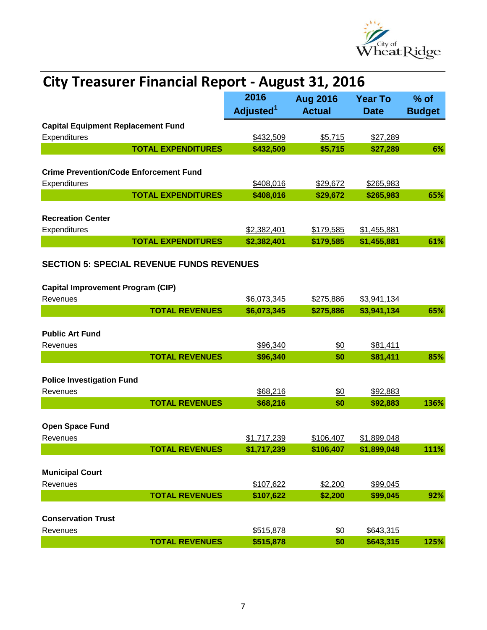

|                                                  | <b>City Treasurer Financial Report - August 31, 2016</b> |                 |                |               |  |  |
|--------------------------------------------------|----------------------------------------------------------|-----------------|----------------|---------------|--|--|
|                                                  | 2016                                                     | <b>Aug 2016</b> | <b>Year To</b> | $%$ of        |  |  |
|                                                  | Adjusted <sup>1</sup>                                    | <b>Actual</b>   | <b>Date</b>    | <b>Budget</b> |  |  |
| <b>Capital Equipment Replacement Fund</b>        |                                                          |                 |                |               |  |  |
| Expenditures                                     | \$432,509                                                | \$5,715         | \$27,289       |               |  |  |
| <b>TOTAL EXPENDITURES</b>                        | \$432,509                                                | \$5,715         | \$27,289       | 6%            |  |  |
|                                                  |                                                          |                 |                |               |  |  |
| <b>Crime Prevention/Code Enforcement Fund</b>    |                                                          |                 |                |               |  |  |
| Expenditures<br><b>TOTAL EXPENDITURES</b>        | \$408,016                                                | \$29,672        | \$265,983      |               |  |  |
|                                                  | \$408,016                                                | \$29,672        | \$265,983      | 65%           |  |  |
| <b>Recreation Center</b>                         |                                                          |                 |                |               |  |  |
| Expenditures                                     | \$2,382,401                                              | \$179,585       | \$1,455,881    |               |  |  |
| <b>TOTAL EXPENDITURES</b>                        | \$2,382,401                                              | \$179,585       | \$1,455,881    | 61%           |  |  |
|                                                  |                                                          |                 |                |               |  |  |
| <b>SECTION 5: SPECIAL REVENUE FUNDS REVENUES</b> |                                                          |                 |                |               |  |  |
|                                                  |                                                          |                 |                |               |  |  |
| <b>Capital Improvement Program (CIP)</b>         |                                                          |                 |                |               |  |  |
| Revenues                                         | \$6,073,345                                              | \$275,886       | \$3,941,134    |               |  |  |
| <b>TOTAL REVENUES</b>                            | \$6,073,345                                              | \$275,886       | \$3,941,134    | 65%           |  |  |
| <b>Public Art Fund</b>                           |                                                          |                 |                |               |  |  |
| Revenues                                         | \$96,340                                                 | \$0             | \$81,411       |               |  |  |
| <b>TOTAL REVENUES</b>                            | \$96,340                                                 | \$0             | \$81,411       | 85%           |  |  |
|                                                  |                                                          |                 |                |               |  |  |
| <b>Police Investigation Fund</b>                 |                                                          |                 |                |               |  |  |
| Revenues                                         | \$68,216                                                 | \$0             | \$92,883       |               |  |  |
| <b>TOTAL REVENUES</b>                            | \$68,216                                                 | \$0             | \$92,883       | 136%          |  |  |
|                                                  |                                                          |                 |                |               |  |  |
| Open Space Fund                                  |                                                          |                 |                |               |  |  |
| Revenues                                         | \$1,717,239                                              | \$106,407       | \$1,899,048    |               |  |  |
| <b>TOTAL REVENUES</b>                            | \$1,717,239                                              | \$106,407       | \$1,899,048    | 111%          |  |  |
| <b>Municipal Court</b>                           |                                                          |                 |                |               |  |  |
| Revenues                                         | \$107,622                                                | \$2,200         | \$99,045       |               |  |  |
| <b>TOTAL REVENUES</b>                            | \$107,622                                                | \$2,200         | \$99,045       | 92%           |  |  |
|                                                  |                                                          |                 |                |               |  |  |
| <b>Conservation Trust</b>                        |                                                          |                 |                |               |  |  |
| Revenues                                         | \$515,878                                                | $\frac{60}{50}$ | \$643,315      |               |  |  |
| <b>TOTAL REVENUES</b>                            | \$515,878                                                | \$0             | \$643,315      | 125%          |  |  |